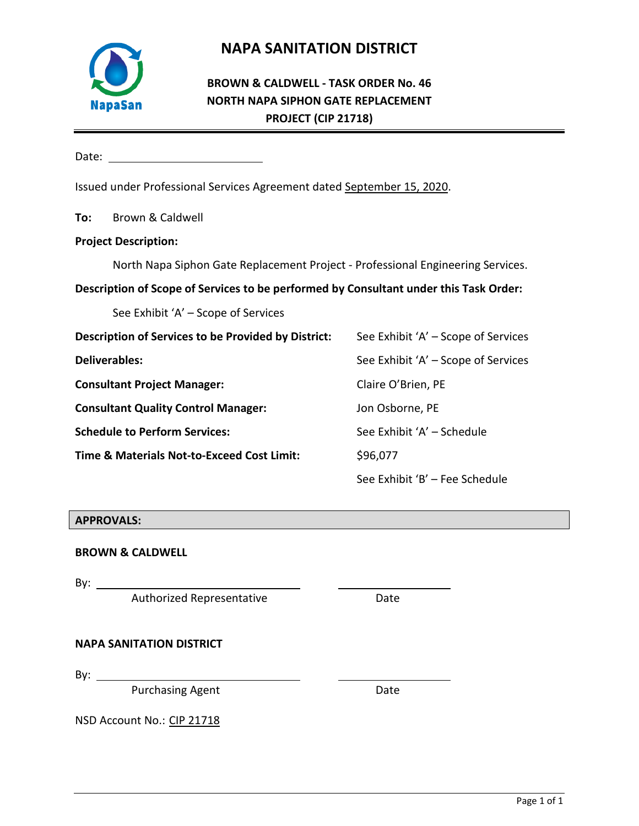

# **NAPA SANITATION DISTRICT**

## **BROWN & CALDWELL - TASK ORDER No. 46 NORTH NAPA SIPHON GATE REPLACEMENT PROJECT (CIP 21718)**

Date: when the contract of the contract of the contract of the contract of the contract of the contract of the contract of the contract of the contract of the contract of the contract of the contract of the contract of the

Issued under Professional Services Agreement dated September 15, 2020.

**To:** Brown & Caldwell

## **Project Description:**

North Napa Siphon Gate Replacement Project - Professional Engineering Services.

## **Description of Scope of Services to be performed by Consultant under this Task Order:**

See Exhibit 'A' – Scope of Services

| Description of Services to be Provided by District: | See Exhibit 'A' – Scope of Services |
|-----------------------------------------------------|-------------------------------------|
| <b>Deliverables:</b>                                | See Exhibit 'A' – Scope of Services |
| <b>Consultant Project Manager:</b>                  | Claire O'Brien, PE                  |
| <b>Consultant Quality Control Manager:</b>          | Jon Osborne, PE                     |
| <b>Schedule to Perform Services:</b>                | See Exhibit 'A' - Schedule          |
| Time & Materials Not-to-Exceed Cost Limit:          | \$96,077                            |
|                                                     | See Exhibit 'B' - Fee Schedule      |

### **APPROVALS:**

**BROWN & CALDWELL**

By:  $\frac{1}{\sqrt{1-\frac{1}{2}}\sqrt{1-\frac{1}{2}}\left(\frac{1}{2}-\frac{1}{2}\right)}$ 

Authorized Representative **Example 20 Fig. 2018** 

### **NAPA SANITATION DISTRICT**

By:  $\_\_\_\_\_\$ 

Purchasing Agent Date

NSD Account No.: CIP 21718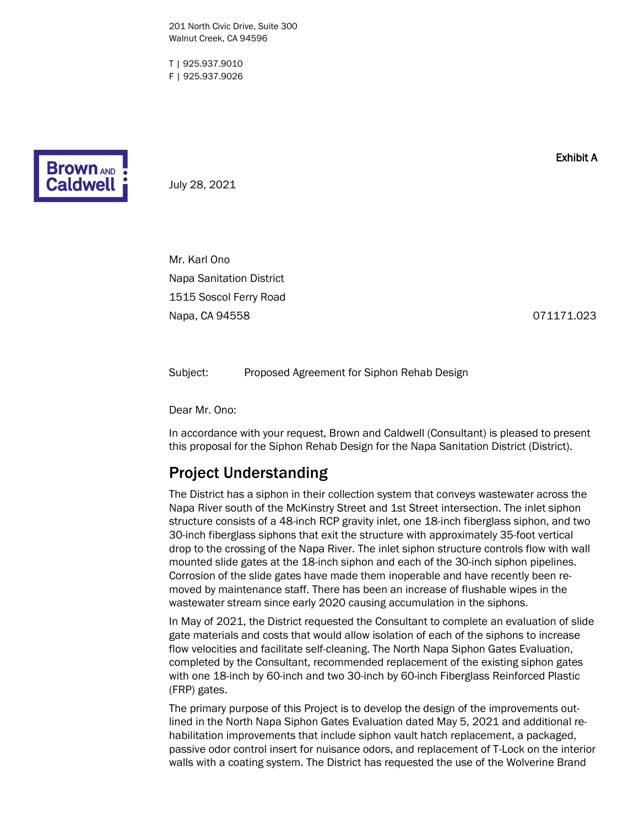201 North Civic Drive, Suite 300 Walnut Creek, CA 94596

T | 925.937.9010 F | 925.937.9026



Exhibit A

July 28, 2021

Mr. Karl Ono Napa Sanitation District 1515 Soscol Ferry Road Napa, CA 94558 071171.023

Subject: Proposed Agreement for Siphon Rehab Design

Dear Mr. Ono:

In accordance with your request, Brown and Caldwell (Consultant) is pleased to present this proposal for the Siphon Rehab Design for the Napa Sanitation District (District).

## Project Understanding

The District has a siphon in their collection system that conveys wastewater across the Napa River south of the McKinstry Street and 1st Street intersection. The inlet siphon structure consists of a 48-inch RCP gravity inlet, one 18-inch fiberglass siphon, and two 30-inch fiberglass siphons that exit the structure with approximately 35-foot vertical drop to the crossing of the Napa River. The inlet siphon structure controls flow with wall mounted slide gates at the 18-inch siphon and each of the 30-inch siphon pipelines. Corrosion of the slide gates have made them inoperable and have recently been removed by maintenance staff. There has been an increase of flushable wipes in the wastewater stream since early 2020 causing accumulation in the siphons.

In May of 2021, the District requested the Consultant to complete an evaluation of slide gate materials and costs that would allow isolation of each of the siphons to increase flow velocities and facilitate self-cleaning. The North Napa Siphon Gates Evaluation, completed by the Consultant, recommended replacement of the existing siphon gates with one 18-inch by 60-inch and two 30-inch by 60-inch Fiberglass Reinforced Plastic (FRP) gates.

The primary purpose of this Project is to develop the design of the improvements outlined in the North Napa Siphon Gates Evaluation dated May 5, 2021 and additional rehabilitation improvements that include siphon vault hatch replacement, a packaged, passive odor control insert for nuisance odors, and replacement of T-Lock on the interior walls with a coating system. The District has requested the use of the Wolverine Brand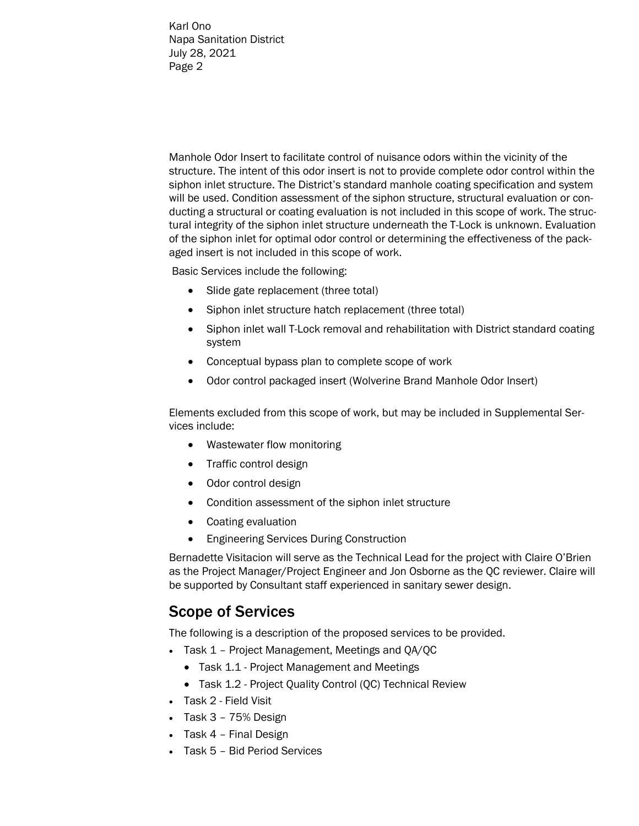Manhole Odor Insert to facilitate control of nuisance odors within the vicinity of the structure. The intent of this odor insert is not to provide complete odor control within the siphon inlet structure. The District's standard manhole coating specification and system will be used. Condition assessment of the siphon structure, structural evaluation or conducting a structural or coating evaluation is not included in this scope of work. The structural integrity of the siphon inlet structure underneath the T-Lock is unknown. Evaluation of the siphon inlet for optimal odor control or determining the effectiveness of the packaged insert is not included in this scope of work.

Basic Services include the following:

- Slide gate replacement (three total)
- Siphon inlet structure hatch replacement (three total)
- Siphon inlet wall T-Lock removal and rehabilitation with District standard coating system
- Conceptual bypass plan to complete scope of work
- Odor control packaged insert (Wolverine Brand Manhole Odor Insert)

Elements excluded from this scope of work, but may be included in Supplemental Services include:

- Wastewater flow monitoring
- Traffic control design
- Odor control design
- Condition assessment of the siphon inlet structure
- Coating evaluation
- Engineering Services During Construction

Bernadette Visitacion will serve as the Technical Lead for the project with Claire O'Brien as the Project Manager/Project Engineer and Jon Osborne as the QC reviewer. Claire will be supported by Consultant staff experienced in sanitary sewer design.

## Scope of Services

The following is a description of the proposed services to be provided.

- Task 1 Project Management, Meetings and QA/QC
	- Task 1.1 Project Management and Meetings
	- Task 1.2 Project Quality Control (QC) Technical Review
- Task 2 Field Visit
- Task 3 75% Design
- Task 4 Final Design
- Task 5 Bid Period Services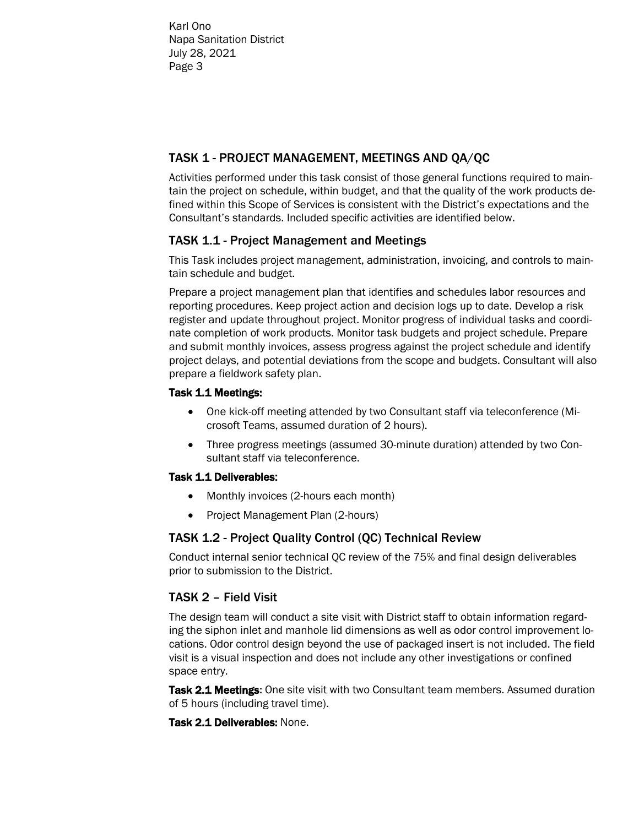## TASK 1 - PROJECT MANAGEMENT, MEETINGS AND QA/QC

Activities performed under this task consist of those general functions required to maintain the project on schedule, within budget, and that the quality of the work products defined within this Scope of Services is consistent with the District's expectations and the Consultant's standards. Included specific activities are identified below.

## TASK 1.1 - Project Management and Meetings

This Task includes project management, administration, invoicing, and controls to maintain schedule and budget.

Prepare a project management plan that identifies and schedules labor resources and reporting procedures. Keep project action and decision logs up to date. Develop a risk register and update throughout project. Monitor progress of individual tasks and coordinate completion of work products. Monitor task budgets and project schedule. Prepare and submit monthly invoices, assess progress against the project schedule and identify project delays, and potential deviations from the scope and budgets. Consultant will also prepare a fieldwork safety plan.

### Task 1.1 Meetings:

- One kick-off meeting attended by two Consultant staff via teleconference (Microsoft Teams, assumed duration of 2 hours).
- Three progress meetings (assumed 30-minute duration) attended by two Consultant staff via teleconference.

### Task 1.1 Deliverables:

- Monthly invoices (2-hours each month)
- Project Management Plan (2-hours)

## TASK 1.2 - Project Quality Control (QC) Technical Review

Conduct internal senior technical QC review of the 75% and final design deliverables prior to submission to the District.

## TASK 2 – Field Visit

The design team will conduct a site visit with District staff to obtain information regarding the siphon inlet and manhole lid dimensions as well as odor control improvement locations. Odor control design beyond the use of packaged insert is not included. The field visit is a visual inspection and does not include any other investigations or confined space entry.

**Task 2.1 Meetings:** One site visit with two Consultant team members. Assumed duration of 5 hours (including travel time).

### Task 2.1 Deliverables: None.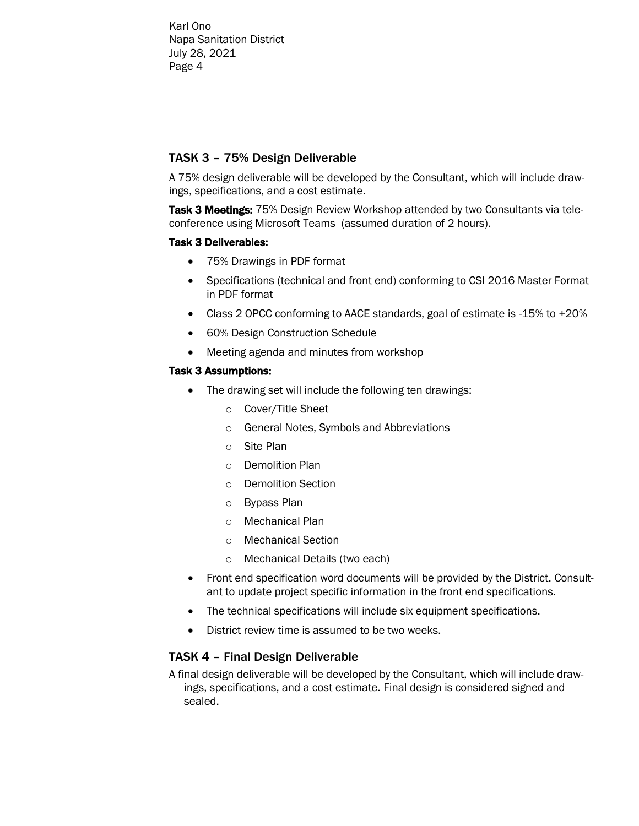## TASK 3 – 75% Design Deliverable

A 75% design deliverable will be developed by the Consultant, which will include drawings, specifications, and a cost estimate.

Task 3 Meetings:75% Design Review Workshop attended by two Consultants via teleconference using Microsoft Teams (assumed duration of 2 hours).

### Task 3 Deliverables:

- 75% Drawings in PDF format
- Specifications (technical and front end) conforming to CSI 2016 Master Format in PDF format
- Class 2 OPCC conforming to AACE standards, goal of estimate is -15% to +20%
- 60% Design Construction Schedule
- Meeting agenda and minutes from workshop

## Task 3 Assumptions:

- The drawing set will include the following ten drawings:
	- o Cover/Title Sheet
	- o General Notes, Symbols and Abbreviations
	- o Site Plan
	- o Demolition Plan
	- o Demolition Section
	- o Bypass Plan
	- o Mechanical Plan
	- o Mechanical Section
	- o Mechanical Details (two each)
- Front end specification word documents will be provided by the District. Consultant to update project specific information in the front end specifications.
- The technical specifications will include six equipment specifications.
- District review time is assumed to be two weeks.

## TASK 4 – Final Design Deliverable

A final design deliverable will be developed by the Consultant, which will include drawings, specifications, and a cost estimate. Final design is considered signed and sealed.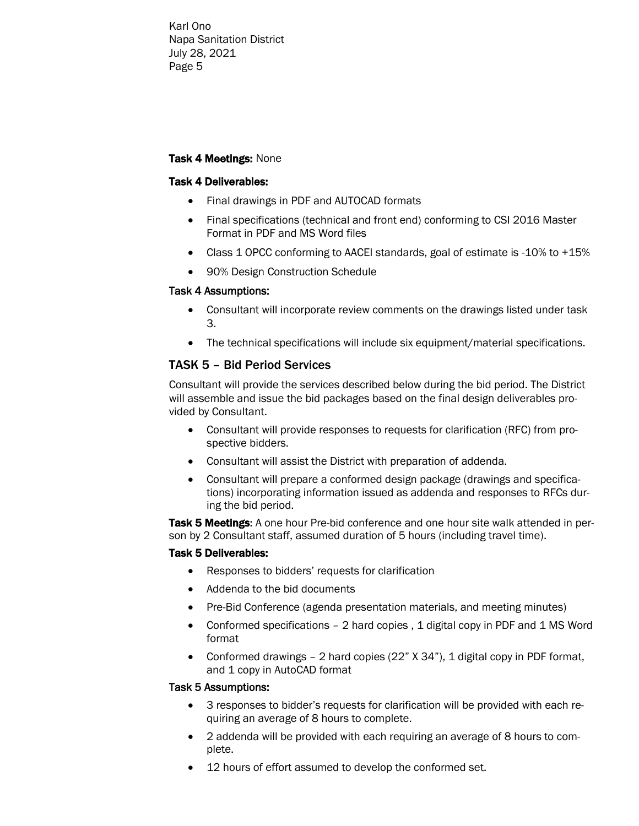#### Task 4 Meetings:None

#### Task 4 Deliverables:

- Final drawings in PDF and AUTOCAD formats
- Final specifications (technical and front end) conforming to CSI 2016 Master Format in PDF and MS Word files
- Class 1 OPCC conforming to AACEI standards, goal of estimate is -10% to +15%
- 90% Design Construction Schedule

#### Task 4 Assumptions:

- Consultant will incorporate review comments on the drawings listed under task 3.
- The technical specifications will include six equipment/material specifications.

## TASK 5 – Bid Period Services

Consultant will provide the services described below during the bid period. The District will assemble and issue the bid packages based on the final design deliverables provided by Consultant.

- Consultant will provide responses to requests for clarification (RFC) from prospective bidders.
- Consultant will assist the District with preparation of addenda.
- Consultant will prepare a conformed design package (drawings and specifications) incorporating information issued as addenda and responses to RFCs during the bid period.

Task 5 Meetings: A one hour Pre-bid conference and one hour site walk attended in person by 2 Consultant staff, assumed duration of 5 hours (including travel time).

#### Task 5 Deliverables:

- Responses to bidders' requests for clarification
- Addenda to the bid documents
- Pre-Bid Conference (agenda presentation materials, and meeting minutes)
- Conformed specifications 2 hard copies, 1 digital copy in PDF and 1 MS Word format
- Conformed drawings 2 hard copies (22" X 34"), 1 digital copy in PDF format, and 1 copy in AutoCAD format

#### Task 5 Assumptions:

- 3 responses to bidder's requests for clarification will be provided with each requiring an average of 8 hours to complete.
- 2 addenda will be provided with each requiring an average of 8 hours to complete.
- 12 hours of effort assumed to develop the conformed set.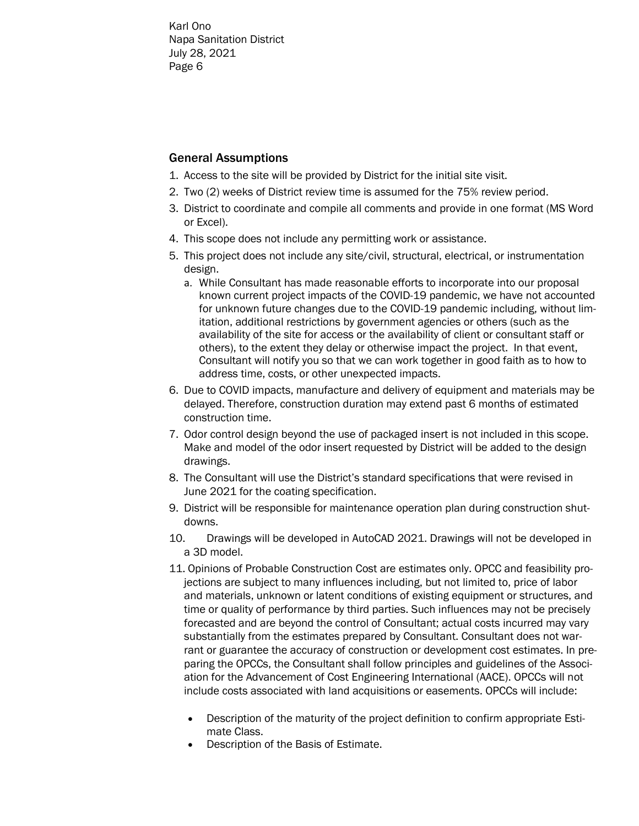## General Assumptions

- 1. Access to the site will be provided by District for the initial site visit.
- 2. Two (2) weeks of District review time is assumed for the 75% review period.
- 3. District to coordinate and compile all comments and provide in one format (MS Word or Excel).
- 4. This scope does not include any permitting work or assistance.
- 5. This project does not include any site/civil, structural, electrical, or instrumentation design.
	- a. While Consultant has made reasonable efforts to incorporate into our proposal known current project impacts of the COVID-19 pandemic, we have not accounted for unknown future changes due to the COVID-19 pandemic including, without limitation, additional restrictions by government agencies or others (such as the availability of the site for access or the availability of client or consultant staff or others), to the extent they delay or otherwise impact the project. In that event, Consultant will notify you so that we can work together in good faith as to how to address time, costs, or other unexpected impacts.
- 6. Due to COVID impacts, manufacture and delivery of equipment and materials may be delayed. Therefore, construction duration may extend past 6 months of estimated construction time.
- 7. Odor control design beyond the use of packaged insert is not included in this scope. Make and model of the odor insert requested by District will be added to the design drawings.
- 8. The Consultant will use the District's standard specifications that were revised in June 2021 for the coating specification.
- 9. District will be responsible for maintenance operation plan during construction shutdowns.
- 10. Drawings will be developed in AutoCAD 2021. Drawings will not be developed in a 3D model.
- 11. Opinions of Probable Construction Cost are estimates only. OPCC and feasibility projections are subject to many influences including, but not limited to, price of labor and materials, unknown or latent conditions of existing equipment or structures, and time or quality of performance by third parties. Such influences may not be precisely forecasted and are beyond the control of Consultant; actual costs incurred may vary substantially from the estimates prepared by Consultant. Consultant does not warrant or guarantee the accuracy of construction or development cost estimates. In preparing the OPCCs, the Consultant shall follow principles and guidelines of the Association for the Advancement of Cost Engineering International (AACE). OPCCs will not include costs associated with land acquisitions or easements. OPCCs will include:
	- Description of the maturity of the project definition to confirm appropriate Estimate Class.
	- Description of the Basis of Estimate.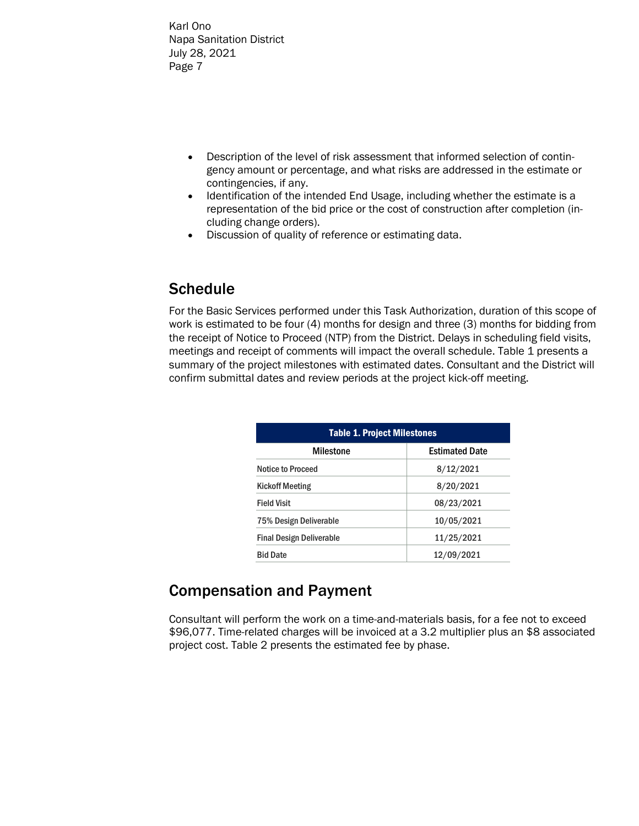- Description of the level of risk assessment that informed selection of contingency amount or percentage, and what risks are addressed in the estimate or contingencies, if any.
- Identification of the intended End Usage, including whether the estimate is a representation of the bid price or the cost of construction after completion (including change orders).
- Discussion of quality of reference or estimating data.

# **Schedule**

For the Basic Services performed under this Task Authorization, duration of this scope of work is estimated to be four (4) months for design and three (3) months for bidding from the receipt of Notice to Proceed (NTP) from the District. Delays in scheduling field visits, meetings and receipt of comments will impact the overall schedule. Table 1 presents a summary of the project milestones with estimated dates. Consultant and the District will confirm submittal dates and review periods at the project kick-off meeting.

| <b>Table 1. Project Milestones</b> |                       |  |  |  |  |  |  |  |  |
|------------------------------------|-----------------------|--|--|--|--|--|--|--|--|
| Milestone                          | <b>Estimated Date</b> |  |  |  |  |  |  |  |  |
| <b>Notice to Proceed</b>           | 8/12/2021             |  |  |  |  |  |  |  |  |
| <b>Kickoff Meeting</b>             | 8/20/2021             |  |  |  |  |  |  |  |  |
| <b>Field Visit</b>                 | 08/23/2021            |  |  |  |  |  |  |  |  |
| 75% Design Deliverable             | 10/05/2021            |  |  |  |  |  |  |  |  |
| <b>Final Design Deliverable</b>    | 11/25/2021            |  |  |  |  |  |  |  |  |
| <b>Bid Date</b>                    | 12/09/2021            |  |  |  |  |  |  |  |  |

# Compensation and Payment

Consultant will perform the work on a time-and-materials basis, for a fee not to exceed \$96,077. Time-related charges will be invoiced at a 3.2 multiplier plus an \$8 associated project cost. Table 2 presents the estimated fee by phase.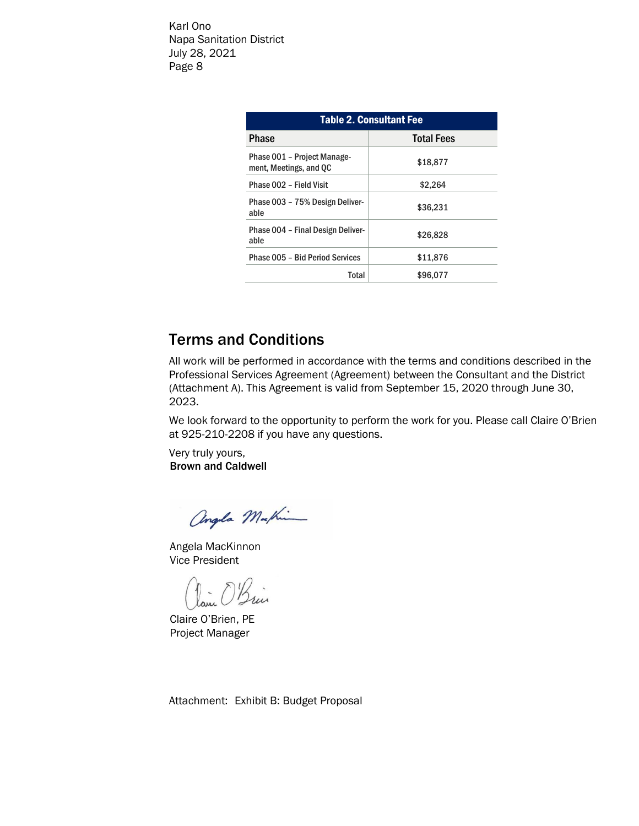| <b>Table 2. Consultant Fee</b>                        |                   |  |  |  |  |  |  |  |  |  |
|-------------------------------------------------------|-------------------|--|--|--|--|--|--|--|--|--|
| Phase                                                 | <b>Total Fees</b> |  |  |  |  |  |  |  |  |  |
| Phase 001 - Project Manage-<br>ment, Meetings, and QC | \$18,877          |  |  |  |  |  |  |  |  |  |
| Phase 002 - Field Visit                               | \$2,264           |  |  |  |  |  |  |  |  |  |
| Phase 003 - 75% Design Deliver-<br>able               | \$36,231          |  |  |  |  |  |  |  |  |  |
| Phase 004 - Final Design Deliver-<br>able             | \$26,828          |  |  |  |  |  |  |  |  |  |
| Phase 005 - Bid Period Services                       | \$11,876          |  |  |  |  |  |  |  |  |  |
| Total                                                 | \$96,077          |  |  |  |  |  |  |  |  |  |

# Terms and Conditions

All work will be performed in accordance with the terms and conditions described in the Professional Services Agreement (Agreement) between the Consultant and the District (Attachment A). This Agreement is valid from September 15, 2020 through June 30, 2023.

We look forward to the opportunity to perform the work for you. Please call Claire O'Brien at 925-210-2208 if you have any questions.

Very truly yours, Brown and Caldwell

angla Mathi

Angela MacKinnon Vice President

Claire O'Brien, PE Project Manager

Attachment: Exhibit B: Budget Proposal